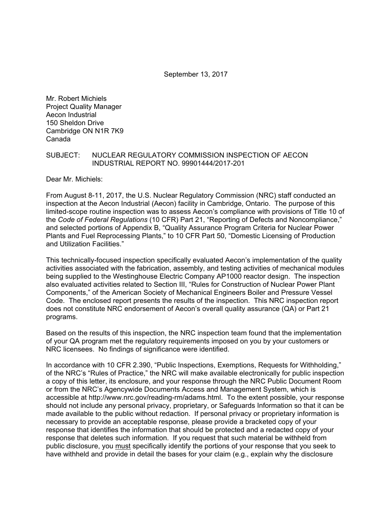September 13, 2017

Mr. Robert Michiels Project Quality Manager Aecon Industrial 150 Sheldon Drive Cambridge ON N1R 7K9 Canada

### SUBJECT: NUCLEAR REGULATORY COMMISSION INSPECTION OF AECON INDUSTRIAL REPORT NO. 99901444/2017-201

Dear Mr. Michiels:

From August 8-11, 2017, the U.S. Nuclear Regulatory Commission (NRC) staff conducted an inspection at the Aecon Industrial (Aecon) facility in Cambridge, Ontario. The purpose of this limited-scope routine inspection was to assess Aecon's compliance with provisions of Title 10 of the *Code of Federal Regulations* (10 CFR) Part 21, "Reporting of Defects and Noncompliance," and selected portions of Appendix B, "Quality Assurance Program Criteria for Nuclear Power Plants and Fuel Reprocessing Plants," to 10 CFR Part 50, "Domestic Licensing of Production and Utilization Facilities."

This technically-focused inspection specifically evaluated Aecon's implementation of the quality activities associated with the fabrication, assembly, and testing activities of mechanical modules being supplied to the Westinghouse Electric Company AP1000 reactor design. The inspection also evaluated activities related to Section III, "Rules for Construction of Nuclear Power Plant Components," of the American Society of Mechanical Engineers Boiler and Pressure Vessel Code. The enclosed report presents the results of the inspection. This NRC inspection report does not constitute NRC endorsement of Aecon's overall quality assurance (QA) or Part 21 programs.

Based on the results of this inspection, the NRC inspection team found that the implementation of your QA program met the regulatory requirements imposed on you by your customers or NRC licensees. No findings of significance were identified.

In accordance with 10 CFR 2.390, "Public Inspections, Exemptions, Requests for Withholding," of the NRC's "Rules of Practice," the NRC will make available electronically for public inspection a copy of this letter, its enclosure, and your response through the NRC Public Document Room or from the NRC's Agencywide Documents Access and Management System, which is accessible at http://www.nrc.gov/reading-rm/adams.html. To the extent possible, your response should not include any personal privacy, proprietary, or Safeguards Information so that it can be made available to the public without redaction. If personal privacy or proprietary information is necessary to provide an acceptable response, please provide a bracketed copy of your response that identifies the information that should be protected and a redacted copy of your response that deletes such information. If you request that such material be withheld from public disclosure, you must specifically identify the portions of your response that you seek to have withheld and provide in detail the bases for your claim (e.g., explain why the disclosure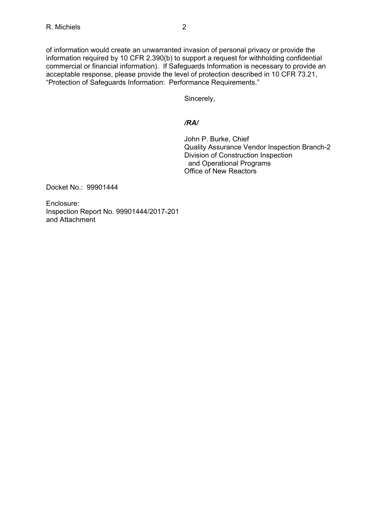of information would create an unwarranted invasion of personal privacy or provide the information required by 10 CFR 2.390(b) to support a request for withholding confidential commercial or financial information). If Safeguards Information is necessary to provide an acceptable response, please provide the level of protection described in 10 CFR 73.21, "Protection of Safeguards Information: Performance Requirements."

Sincerely,

## */RA/*

John P. Burke, Chief Quality Assurance Vendor Inspection Branch-2 Division of Construction Inspection and Operational Programs Office of New Reactors

Docket No.: 99901444

Enclosure: Inspection Report No. 99901444/2017-201 and Attachment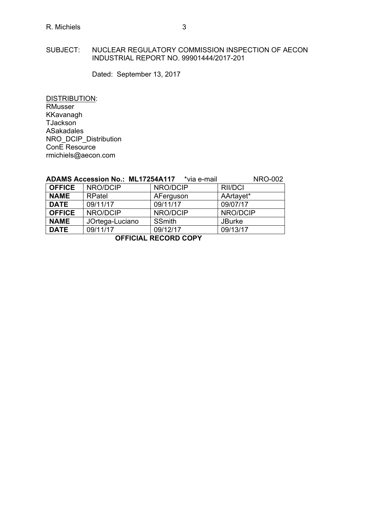## SUBJECT: NUCLEAR REGULATORY COMMISSION INSPECTION OF AECON INDUSTRIAL REPORT NO. 99901444/2017-201

Dated: September 13, 2017

DISTRIBUTION: RMusser KKavanagh TJackson ASakadales NRO\_DCIP\_Distribution ConE Resource rmichiels@aecon.com

| <b>ADAMS Accession No.: ML17254A117</b> | *via e-mail | <b>NRO-002</b> |
|-----------------------------------------|-------------|----------------|
|-----------------------------------------|-------------|----------------|

| <b>OFFICE</b> | NRO/DCIP        | NRO/DCIP      | <b>RII/DCI</b> |  |
|---------------|-----------------|---------------|----------------|--|
| <b>NAME</b>   | <b>RPatel</b>   | AFerguson     | AArtayet*      |  |
| <b>DATE</b>   | 09/11/17        | 09/11/17      | 09/07/17       |  |
| <b>OFFICE</b> | NRO/DCIP        | NRO/DCIP      | NRO/DCIP       |  |
| <b>NAME</b>   | JOrtega-Luciano | <b>SSmith</b> | <b>JBurke</b>  |  |
| <b>DATE</b>   | 09/11/17        | 09/12/17      | 09/13/17       |  |
|               |                 |               |                |  |

**OFFICIAL RECORD COPY**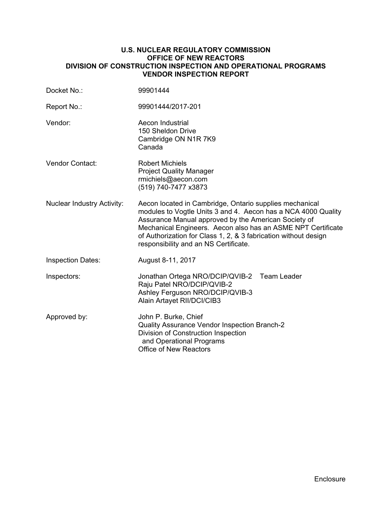## **U.S. NUCLEAR REGULATORY COMMISSION OFFICE OF NEW REACTORS DIVISION OF CONSTRUCTION INSPECTION AND OPERATIONAL PROGRAMS VENDOR INSPECTION REPORT**

| Docket No.:                       | 99901444                                                                                                                                                                                                                                                                                                                                                     |  |  |
|-----------------------------------|--------------------------------------------------------------------------------------------------------------------------------------------------------------------------------------------------------------------------------------------------------------------------------------------------------------------------------------------------------------|--|--|
| Report No.:                       | 99901444/2017-201                                                                                                                                                                                                                                                                                                                                            |  |  |
| Vendor:                           | Aecon Industrial<br>150 Sheldon Drive<br>Cambridge ON N1R 7K9<br>Canada                                                                                                                                                                                                                                                                                      |  |  |
| Vendor Contact:                   | <b>Robert Michiels</b><br><b>Project Quality Manager</b><br>rmichiels@aecon.com<br>(519) 740-7477 x3873                                                                                                                                                                                                                                                      |  |  |
| <b>Nuclear Industry Activity:</b> | Aecon located in Cambridge, Ontario supplies mechanical<br>modules to Vogtle Units 3 and 4. Aecon has a NCA 4000 Quality<br>Assurance Manual approved by the American Society of<br>Mechanical Engineers. Aecon also has an ASME NPT Certificate<br>of Authorization for Class 1, 2, & 3 fabrication without design<br>responsibility and an NS Certificate. |  |  |
| <b>Inspection Dates:</b>          | August 8-11, 2017                                                                                                                                                                                                                                                                                                                                            |  |  |
| Inspectors:                       | Jonathan Ortega NRO/DCIP/QVIB-2 Team Leader<br>Raju Patel NRO/DCIP/QVIB-2<br>Ashley Ferguson NRO/DCIP/QVIB-3<br>Alain Artayet RII/DCI/CIB3                                                                                                                                                                                                                   |  |  |
| Approved by:                      | John P. Burke, Chief<br>Quality Assurance Vendor Inspection Branch-2<br>Division of Construction Inspection<br>and Operational Programs<br>Office of New Reactors                                                                                                                                                                                            |  |  |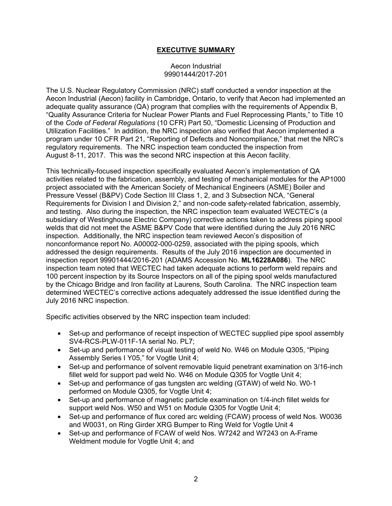## **EXECUTIVE SUMMARY**

### Aecon Industrial 99901444/2017-201

The U.S. Nuclear Regulatory Commission (NRC) staff conducted a vendor inspection at the Aecon Industrial (Aecon) facility in Cambridge, Ontario, to verify that Aecon had implemented an adequate quality assurance (QA) program that complies with the requirements of Appendix B, "Quality Assurance Criteria for Nuclear Power Plants and Fuel Reprocessing Plants," to Title 10 of the *Code of Federal Regulations* (10 CFR) Part 50, "Domestic Licensing of Production and Utilization Facilities." In addition, the NRC inspection also verified that Aecon implemented a program under 10 CFR Part 21, "Reporting of Defects and Noncompliance," that met the NRC's regulatory requirements. The NRC inspection team conducted the inspection from August 8-11, 2017. This was the second NRC inspection at this Aecon facility.

This technically-focused inspection specifically evaluated Aecon's implementation of QA activities related to the fabrication, assembly, and testing of mechanical modules for the AP1000 project associated with the American Society of Mechanical Engineers (ASME) Boiler and Pressure Vessel (B&PV) Code Section III Class 1, 2, and 3 Subsection NCA, "General Requirements for Division I and Division 2," and non-code safety-related fabrication, assembly, and testing. Also during the inspection, the NRC inspection team evaluated WECTEC's (a subsidiary of Westinghouse Electric Company) corrective actions taken to address piping spool welds that did not meet the ASME B&PV Code that were identified during the July 2016 NRC inspection. Additionally, the NRC inspection team reviewed Aecon's disposition of nonconformance report No. A00002-000-0259, associated with the piping spools, which addressed the design requirements. Results of the July 2016 inspection are documented in inspection report 99901444/2016-201 (ADAMS Accession No. **ML16228A086**). The NRC inspection team noted that WECTEC had taken adequate actions to perform weld repairs and 100 percent inspection by its Source Inspectors on all of the piping spool welds manufactured by the Chicago Bridge and Iron facility at Laurens, South Carolina. The NRC inspection team determined WECTEC's corrective actions adequately addressed the issue identified during the July 2016 NRC inspection.

Specific activities observed by the NRC inspection team included:

- Set-up and performance of receipt inspection of WECTEC supplied pipe spool assembly SV4-RCS-PLW-011F-1A serial No. PL7;
- Set-up and performance of visual testing of weld No. W46 on Module Q305, "Piping Assembly Series I Y05," for Vogtle Unit 4;
- Set-up and performance of solvent removable liquid penetrant examination on 3/16-inch fillet weld for support pad weld No. W46 on Module Q305 for Vogtle Unit 4;
- Set-up and performance of gas tungsten arc welding (GTAW) of weld No. W0-1 performed on Module Q305, for Vogtle Unit 4;
- Set-up and performance of magnetic particle examination on 1/4-inch fillet welds for support weld Nos. W50 and W51 on Module Q305 for Vogtle Unit 4;
- Set-up and performance of flux cored arc welding (FCAW) process of weld Nos. W0036 and W0031, on Ring Girder XRG Bumper to Ring Weld for Vogtle Unit 4
- Set-up and performance of FCAW of weld Nos. W7242 and W7243 on A-Frame Weldment module for Vogtle Unit 4; and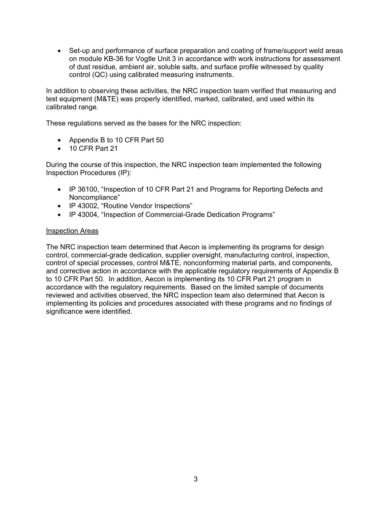• Set-up and performance of surface preparation and coating of frame/support weld areas on module KB-36 for Vogtle Unit 3 in accordance with work instructions for assessment of dust residue, ambient air, soluble salts, and surface profile witnessed by quality control (QC) using calibrated measuring instruments.

In addition to observing these activities, the NRC inspection team verified that measuring and test equipment (M&TE) was properly identified, marked, calibrated, and used within its calibrated range.

These regulations served as the bases for the NRC inspection:

- Appendix B to 10 CFR Part 50
- 10 CFR Part 21

During the course of this inspection, the NRC inspection team implemented the following Inspection Procedures (IP):

- IP 36100, "Inspection of 10 CFR Part 21 and Programs for Reporting Defects and Noncompliance"
- IP 43002, "Routine Vendor Inspections"
- IP 43004, "Inspection of Commercial-Grade Dedication Programs"

### Inspection Areas

The NRC inspection team determined that Aecon is implementing its programs for design control, commercial-grade dedication, supplier oversight, manufacturing control, inspection, control of special processes, control M&TE, nonconforming material parts, and components, and corrective action in accordance with the applicable regulatory requirements of Appendix B to 10 CFR Part 50. In addition, Aecon is implementing its 10 CFR Part 21 program in accordance with the regulatory requirements. Based on the limited sample of documents reviewed and activities observed, the NRC inspection team also determined that Aecon is implementing its policies and procedures associated with these programs and no findings of significance were identified.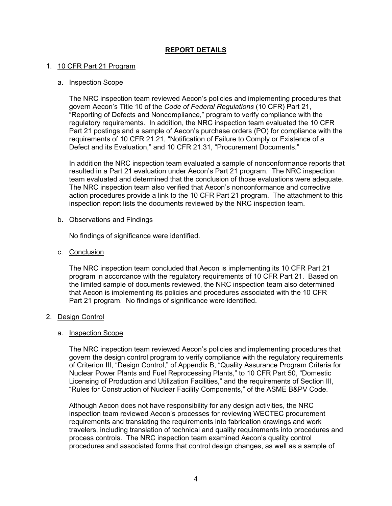## **REPORT DETAILS**

## 1. 10 CFR Part 21 Program

### a. Inspection Scope

The NRC inspection team reviewed Aecon's policies and implementing procedures that govern Aecon's Title 10 of the *Code of Federal Regulations* (10 CFR) Part 21, "Reporting of Defects and Noncompliance," program to verify compliance with the regulatory requirements. In addition, the NRC inspection team evaluated the 10 CFR Part 21 postings and a sample of Aecon's purchase orders (PO) for compliance with the requirements of 10 CFR 21.21, "Notification of Failure to Comply or Existence of a Defect and its Evaluation," and 10 CFR 21.31, "Procurement Documents."

In addition the NRC inspection team evaluated a sample of nonconformance reports that resulted in a Part 21 evaluation under Aecon's Part 21 program. The NRC inspection team evaluated and determined that the conclusion of those evaluations were adequate. The NRC inspection team also verified that Aecon's nonconformance and corrective action procedures provide a link to the 10 CFR Part 21 program. The attachment to this inspection report lists the documents reviewed by the NRC inspection team.

### b. Observations and Findings

No findings of significance were identified.

## c. Conclusion

The NRC inspection team concluded that Aecon is implementing its 10 CFR Part 21 program in accordance with the regulatory requirements of 10 CFR Part 21. Based on the limited sample of documents reviewed, the NRC inspection team also determined that Aecon is implementing its policies and procedures associated with the 10 CFR Part 21 program. No findings of significance were identified.

### 2. Design Control

### a. Inspection Scope

The NRC inspection team reviewed Aecon's policies and implementing procedures that govern the design control program to verify compliance with the regulatory requirements of Criterion III, "Design Control," of Appendix B, "Quality Assurance Program Criteria for Nuclear Power Plants and Fuel Reprocessing Plants," to 10 CFR Part 50, "Domestic Licensing of Production and Utilization Facilities," and the requirements of Section III, "Rules for Construction of Nuclear Facility Components," of the ASME B&PV Code.

Although Aecon does not have responsibility for any design activities, the NRC inspection team reviewed Aecon's processes for reviewing WECTEC procurement requirements and translating the requirements into fabrication drawings and work travelers, including translation of technical and quality requirements into procedures and process controls. The NRC inspection team examined Aecon's quality control procedures and associated forms that control design changes, as well as a sample of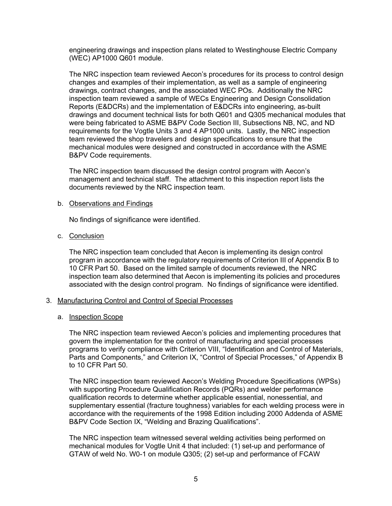engineering drawings and inspection plans related to Westinghouse Electric Company (WEC) AP1000 Q601 module.

The NRC inspection team reviewed Aecon's procedures for its process to control design changes and examples of their implementation, as well as a sample of engineering drawings, contract changes, and the associated WEC POs. Additionally the NRC inspection team reviewed a sample of WECs Engineering and Design Consolidation Reports (E&DCRs) and the implementation of E&DCRs into engineering, as-built drawings and document technical lists for both Q601 and Q305 mechanical modules that were being fabricated to ASME B&PV Code Section III, Subsections NB, NC, and ND requirements for the Vogtle Units 3 and 4 AP1000 units. Lastly, the NRC inspection team reviewed the shop travelers and design specifications to ensure that the mechanical modules were designed and constructed in accordance with the ASME B&PV Code requirements.

The NRC inspection team discussed the design control program with Aecon's management and technical staff. The attachment to this inspection report lists the documents reviewed by the NRC inspection team.

### b. Observations and Findings

No findings of significance were identified.

## c. Conclusion

The NRC inspection team concluded that Aecon is implementing its design control program in accordance with the regulatory requirements of Criterion III of Appendix B to 10 CFR Part 50. Based on the limited sample of documents reviewed, the NRC inspection team also determined that Aecon is implementing its policies and procedures associated with the design control program. No findings of significance were identified.

### 3. Manufacturing Control and Control of Special Processes

### a. Inspection Scope

The NRC inspection team reviewed Aecon's policies and implementing procedures that govern the implementation for the control of manufacturing and special processes programs to verify compliance with Criterion VIII, "Identification and Control of Materials, Parts and Components," and Criterion IX, "Control of Special Processes," of Appendix B to 10 CFR Part 50.

The NRC inspection team reviewed Aecon's Welding Procedure Specifications (WPSs) with supporting Procedure Qualification Records (PQRs) and welder performance qualification records to determine whether applicable essential, nonessential, and supplementary essential (fracture toughness) variables for each welding process were in accordance with the requirements of the 1998 Edition including 2000 Addenda of ASME B&PV Code Section IX, "Welding and Brazing Qualifications".

The NRC inspection team witnessed several welding activities being performed on mechanical modules for Vogtle Unit 4 that included: (1) set-up and performance of GTAW of weld No. W0-1 on module Q305; (2) set-up and performance of FCAW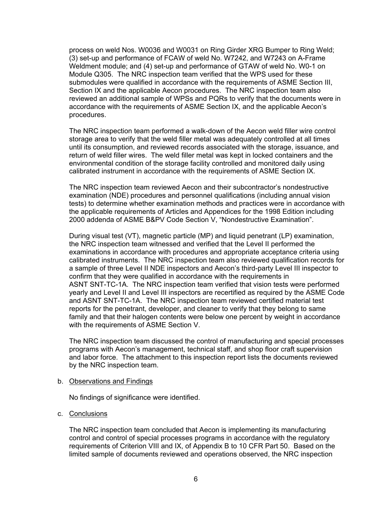process on weld Nos. W0036 and W0031 on Ring Girder XRG Bumper to Ring Weld; (3) set-up and performance of FCAW of weld No. W7242, and W7243 on A-Frame Weldment module; and (4) set-up and performance of GTAW of weld No. W0-1 on Module Q305. The NRC inspection team verified that the WPS used for these submodules were qualified in accordance with the requirements of ASME Section III, Section IX and the applicable Aecon procedures. The NRC inspection team also reviewed an additional sample of WPSs and PQRs to verify that the documents were in accordance with the requirements of ASME Section IX, and the applicable Aecon's procedures.

The NRC inspection team performed a walk-down of the Aecon weld filler wire control storage area to verify that the weld filler metal was adequately controlled at all times until its consumption, and reviewed records associated with the storage, issuance, and return of weld filler wires. The weld filler metal was kept in locked containers and the environmental condition of the storage facility controlled and monitored daily using calibrated instrument in accordance with the requirements of ASME Section IX.

The NRC inspection team reviewed Aecon and their subcontractor's nondestructive examination (NDE) procedures and personnel qualifications (including annual vision tests) to determine whether examination methods and practices were in accordance with the applicable requirements of Articles and Appendices for the 1998 Edition including 2000 addenda of ASME B&PV Code Section V, "Nondestructive Examination".

During visual test (VT), magnetic particle (MP) and liquid penetrant (LP) examination, the NRC inspection team witnessed and verified that the Level II performed the examinations in accordance with procedures and appropriate acceptance criteria using calibrated instruments. The NRC inspection team also reviewed qualification records for a sample of three Level II NDE inspectors and Aecon's third-party Level III inspector to confirm that they were qualified in accordance with the requirements in ASNT SNT-TC-1A. The NRC inspection team verified that vision tests were performed yearly and Level II and Level III inspectors are recertified as required by the ASME Code and ASNT SNT-TC-1A. The NRC inspection team reviewed certified material test reports for the penetrant, developer, and cleaner to verify that they belong to same family and that their halogen contents were below one percent by weight in accordance with the requirements of ASME Section V.

The NRC inspection team discussed the control of manufacturing and special processes programs with Aecon's management, technical staff, and shop floor craft supervision and labor force. The attachment to this inspection report lists the documents reviewed by the NRC inspection team.

#### b. Observations and Findings

No findings of significance were identified.

### c. Conclusions

The NRC inspection team concluded that Aecon is implementing its manufacturing control and control of special processes programs in accordance with the regulatory requirements of Criterion VIII and IX, of Appendix B to 10 CFR Part 50. Based on the limited sample of documents reviewed and operations observed, the NRC inspection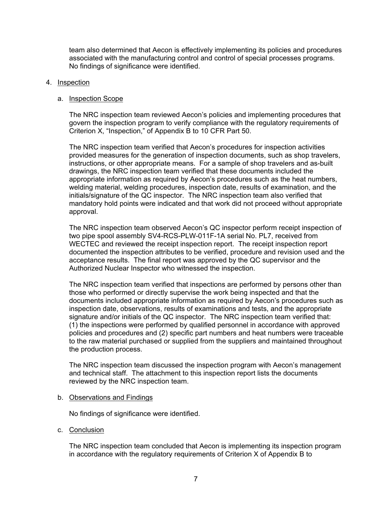team also determined that Aecon is effectively implementing its policies and procedures associated with the manufacturing control and control of special processes programs. No findings of significance were identified.

### 4. Inspection

#### a. Inspection Scope

The NRC inspection team reviewed Aecon's policies and implementing procedures that govern the inspection program to verify compliance with the regulatory requirements of Criterion X, "Inspection," of Appendix B to 10 CFR Part 50.

The NRC inspection team verified that Aecon's procedures for inspection activities provided measures for the generation of inspection documents, such as shop travelers, instructions, or other appropriate means. For a sample of shop travelers and as-built drawings, the NRC inspection team verified that these documents included the appropriate information as required by Aecon's procedures such as the heat numbers, welding material, welding procedures, inspection date, results of examination, and the initials/signature of the QC inspector. The NRC inspection team also verified that mandatory hold points were indicated and that work did not proceed without appropriate approval.

The NRC inspection team observed Aecon's QC inspector perform receipt inspection of two pipe spool assembly SV4-RCS-PLW-011F-1A serial No. PL7, received from WECTEC and reviewed the receipt inspection report. The receipt inspection report documented the inspection attributes to be verified, procedure and revision used and the acceptance results. The final report was approved by the QC supervisor and the Authorized Nuclear Inspector who witnessed the inspection.

The NRC inspection team verified that inspections are performed by persons other than those who performed or directly supervise the work being inspected and that the documents included appropriate information as required by Aecon's procedures such as inspection date, observations, results of examinations and tests, and the appropriate signature and/or initials of the QC inspector. The NRC inspection team verified that: (1) the inspections were performed by qualified personnel in accordance with approved policies and procedures and (2) specific part numbers and heat numbers were traceable to the raw material purchased or supplied from the suppliers and maintained throughout the production process.

The NRC inspection team discussed the inspection program with Aecon's management and technical staff. The attachment to this inspection report lists the documents reviewed by the NRC inspection team.

### b. Observations and Findings

No findings of significance were identified.

c. Conclusion

The NRC inspection team concluded that Aecon is implementing its inspection program in accordance with the regulatory requirements of Criterion X of Appendix B to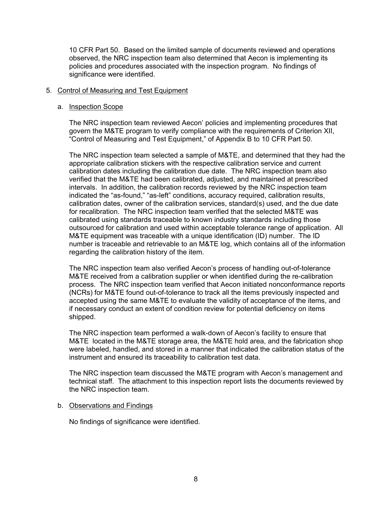10 CFR Part 50. Based on the limited sample of documents reviewed and operations observed, the NRC inspection team also determined that Aecon is implementing its policies and procedures associated with the inspection program. No findings of significance were identified.

### 5. Control of Measuring and Test Equipment

### a. Inspection Scope

The NRC inspection team reviewed Aecon' policies and implementing procedures that govern the M&TE program to verify compliance with the requirements of Criterion XII, "Control of Measuring and Test Equipment," of Appendix B to 10 CFR Part 50.

The NRC inspection team selected a sample of M&TE, and determined that they had the appropriate calibration stickers with the respective calibration service and current calibration dates including the calibration due date. The NRC inspection team also verified that the M&TE had been calibrated, adjusted, and maintained at prescribed intervals. In addition, the calibration records reviewed by the NRC inspection team indicated the "as-found," "as-left" conditions, accuracy required, calibration results, calibration dates, owner of the calibration services, standard(s) used, and the due date for recalibration. The NRC inspection team verified that the selected M&TE was calibrated using standards traceable to known industry standards including those outsourced for calibration and used within acceptable tolerance range of application. All M&TE equipment was traceable with a unique identification (ID) number. The ID number is traceable and retrievable to an M&TE log, which contains all of the information regarding the calibration history of the item.

The NRC inspection team also verified Aecon's process of handling out-of-tolerance M&TE received from a calibration supplier or when identified during the re-calibration process. The NRC inspection team verified that Aecon initiated nonconformance reports (NCRs) for M&TE found out-of-tolerance to track all the items previously inspected and accepted using the same M&TE to evaluate the validity of acceptance of the items, and if necessary conduct an extent of condition review for potential deficiency on items shipped.

The NRC inspection team performed a walk-down of Aecon's facility to ensure that M&TE located in the M&TE storage area, the M&TE hold area, and the fabrication shop were labeled, handled, and stored in a manner that indicated the calibration status of the instrument and ensured its traceability to calibration test data.

The NRC inspection team discussed the M&TE program with Aecon's management and technical staff. The attachment to this inspection report lists the documents reviewed by the NRC inspection team.

### b. Observations and Findings

No findings of significance were identified.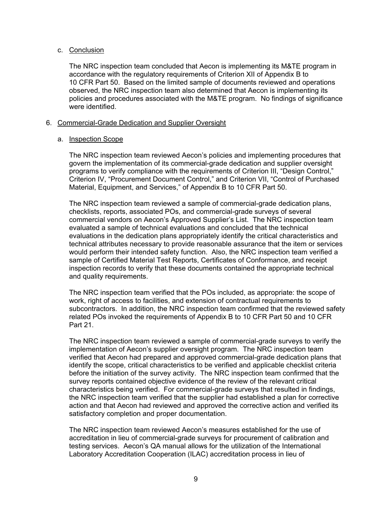## c. Conclusion

The NRC inspection team concluded that Aecon is implementing its M&TE program in accordance with the regulatory requirements of Criterion XII of Appendix B to 10 CFR Part 50. Based on the limited sample of documents reviewed and operations observed, the NRC inspection team also determined that Aecon is implementing its policies and procedures associated with the M&TE program. No findings of significance were identified.

## 6. Commercial-Grade Dedication and Supplier Oversight

## a. Inspection Scope

The NRC inspection team reviewed Aecon's policies and implementing procedures that govern the implementation of its commercial-grade dedication and supplier oversight programs to verify compliance with the requirements of Criterion III, "Design Control," Criterion IV, "Procurement Document Control," and Criterion VII, "Control of Purchased Material, Equipment, and Services," of Appendix B to 10 CFR Part 50.

The NRC inspection team reviewed a sample of commercial-grade dedication plans, checklists, reports, associated POs, and commercial-grade surveys of several commercial vendors on Aecon's Approved Supplier's List. The NRC inspection team evaluated a sample of technical evaluations and concluded that the technical evaluations in the dedication plans appropriately identify the critical characteristics and technical attributes necessary to provide reasonable assurance that the item or services would perform their intended safety function. Also, the NRC inspection team verified a sample of Certified Material Test Reports, Certificates of Conformance, and receipt inspection records to verify that these documents contained the appropriate technical and quality requirements.

The NRC inspection team verified that the POs included, as appropriate: the scope of work, right of access to facilities, and extension of contractual requirements to subcontractors. In addition, the NRC inspection team confirmed that the reviewed safety related POs invoked the requirements of Appendix B to 10 CFR Part 50 and 10 CFR Part 21.

The NRC inspection team reviewed a sample of commercial-grade surveys to verify the implementation of Aecon's supplier oversight program. The NRC inspection team verified that Aecon had prepared and approved commercial-grade dedication plans that identify the scope, critical characteristics to be verified and applicable checklist criteria before the initiation of the survey activity. The NRC inspection team confirmed that the survey reports contained objective evidence of the review of the relevant critical characteristics being verified. For commercial-grade surveys that resulted in findings, the NRC inspection team verified that the supplier had established a plan for corrective action and that Aecon had reviewed and approved the corrective action and verified its satisfactory completion and proper documentation.

The NRC inspection team reviewed Aecon's measures established for the use of accreditation in lieu of commercial-grade surveys for procurement of calibration and testing services. Aecon's QA manual allows for the utilization of the International Laboratory Accreditation Cooperation (ILAC) accreditation process in lieu of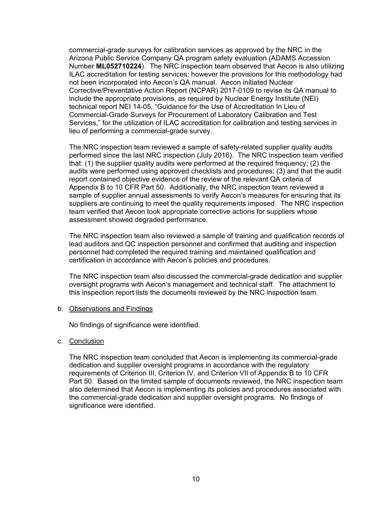commercial-grade surveys for calibration services as approved by the NRC in the Arizona Public Service Company QA program safety evaluation (ADAMS Accession Number **ML052710224**). The NRC inspection team observed that Aecon is also utilizing ILAC accreditation for testing services; however the provisions for this methodology had not been incorporated into Aecon's QA manual. Aecon initiated Nuclear Corrective/Preventative Action Report (NCPAR) 2017-0109 to revise its QA manual to include the appropriate provisions, as required by Nuclear Energy Institute (NEI) technical report NEI 14-05, "Guidance for the Use of Accreditation In Lieu of Commercial-Grade Surveys for Procurement of Laboratory Calibration and Test Services," for the utilization of ILAC accreditation for calibration and testing services in lieu of performing a commercial-grade survey.

The NRC inspection team reviewed a sample of safety-related supplier quality audits performed since the last NRC inspection (July 2016). The NRC inspection team verified that: (1) the supplier quality audits were performed at the required frequency; (2) the audits were performed using approved checklists and procedures; (3) and that the audit report contained objective evidence of the review of the relevant QA criteria of Appendix B to 10 CFR Part 50. Additionally, the NRC inspection team reviewed a sample of supplier annual assessments to verify Aecon's measures for ensuring that its suppliers are continuing to meet the quality requirements imposed. The NRC inspection team verified that Aecon took appropriate corrective actions for suppliers whose assessment showed degraded performance.

The NRC inspection team also reviewed a sample of training and qualification records of lead auditors and QC inspection personnel and confirmed that auditing and inspection personnel had completed the required training and maintained qualification and certification in accordance with Aecon's policies and procedures.

The NRC inspection team also discussed the commercial-grade dedication and supplier oversight programs with Aecon's management and technical staff. The attachment to this inspection report lists the documents reviewed by the NRC inspection team.

### b. Observations and Findings

No findings of significance were identified.

### c. Conclusion

The NRC inspection team concluded that Aecon is implementing its commercial-grade dedication and supplier oversight programs in accordance with the regulatory requirements of Criterion III, Criterion IV, and Criterion VII of Appendix B to 10 CFR Part 50. Based on the limited sample of documents reviewed, the NRC inspection team also determined that Aecon is implementing its policies and procedures associated with the commercial-grade dedication and supplier oversight programs. No findings of significance were identified.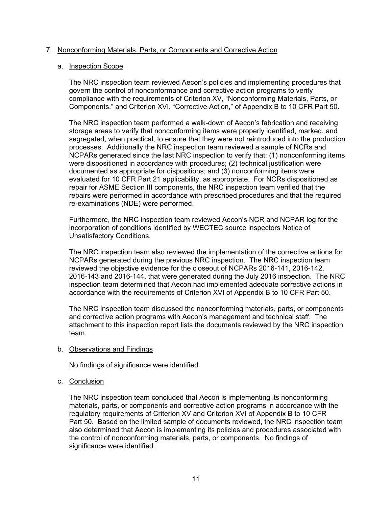## 7. Nonconforming Materials, Parts, or Components and Corrective Action

### a. Inspection Scope

The NRC inspection team reviewed Aecon's policies and implementing procedures that govern the control of nonconformance and corrective action programs to verify compliance with the requirements of Criterion XV, "Nonconforming Materials, Parts, or Components," and Criterion XVI, "Corrective Action," of Appendix B to 10 CFR Part 50.

The NRC inspection team performed a walk-down of Aecon's fabrication and receiving storage areas to verify that nonconforming items were properly identified, marked, and segregated, when practical, to ensure that they were not reintroduced into the production processes. Additionally the NRC inspection team reviewed a sample of NCRs and NCPARs generated since the last NRC inspection to verify that: (1) nonconforming items were dispositioned in accordance with procedures; (2) technical justification were documented as appropriate for dispositions; and (3) nonconforming items were evaluated for 10 CFR Part 21 applicability, as appropriate. For NCRs dispositioned as repair for ASME Section III components, the NRC inspection team verified that the repairs were performed in accordance with prescribed procedures and that the required re-examinations (NDE) were performed.

Furthermore, the NRC inspection team reviewed Aecon's NCR and NCPAR log for the incorporation of conditions identified by WECTEC source inspectors Notice of Unsatisfactory Conditions.

The NRC inspection team also reviewed the implementation of the corrective actions for NCPARs generated during the previous NRC inspection. The NRC inspection team reviewed the objective evidence for the closeout of NCPARs 2016-141, 2016-142, 2016-143 and 2016-144, that were generated during the July 2016 inspection. The NRC inspection team determined that Aecon had implemented adequate corrective actions in accordance with the requirements of Criterion XVI of Appendix B to 10 CFR Part 50.

The NRC inspection team discussed the nonconforming materials, parts, or components and corrective action programs with Aecon's management and technical staff. The attachment to this inspection report lists the documents reviewed by the NRC inspection team.

### b. Observations and Findings

No findings of significance were identified.

### c. Conclusion

The NRC inspection team concluded that Aecon is implementing its nonconforming materials, parts, or components and corrective action programs in accordance with the regulatory requirements of Criterion XV and Criterion XVI of Appendix B to 10 CFR Part 50. Based on the limited sample of documents reviewed, the NRC inspection team also determined that Aecon is implementing its policies and procedures associated with the control of nonconforming materials, parts, or components. No findings of significance were identified.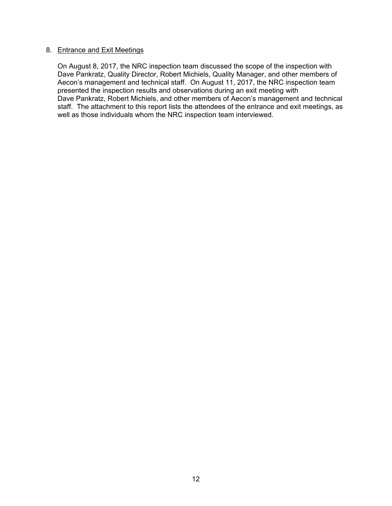## 8. Entrance and Exit Meetings

On August 8, 2017, the NRC inspection team discussed the scope of the inspection with Dave Pankratz, Quality Director, Robert Michiels, Quality Manager, and other members of Aecon's management and technical staff. On August 11, 2017, the NRC inspection team presented the inspection results and observations during an exit meeting with Dave Pankratz, Robert Michiels, and other members of Aecon's management and technical staff. The attachment to this report lists the attendees of the entrance and exit meetings, as well as those individuals whom the NRC inspection team interviewed.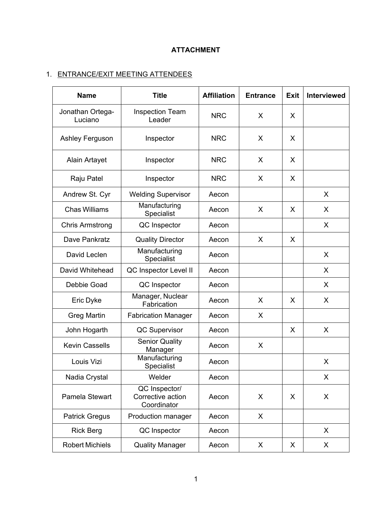# **ATTACHMENT**

# 1. ENTRANCE/EXIT MEETING ATTENDEES

| <b>Name</b>                 | <b>Title</b>                                      | <b>Affiliation</b> | <b>Entrance</b> | <b>Exit</b> | <b>Interviewed</b> |
|-----------------------------|---------------------------------------------------|--------------------|-----------------|-------------|--------------------|
| Jonathan Ortega-<br>Luciano | <b>Inspection Team</b><br>Leader                  | <b>NRC</b>         | X               | X           |                    |
| Ashley Ferguson             | Inspector                                         | <b>NRC</b>         | X               | X           |                    |
| Alain Artayet               | Inspector                                         | <b>NRC</b>         | X               | X           |                    |
| Raju Patel                  | Inspector                                         | <b>NRC</b>         | X               | X           |                    |
| Andrew St. Cyr              | <b>Welding Supervisor</b>                         | Aecon              |                 |             | X                  |
| <b>Chas Williams</b>        | Manufacturing<br>Specialist                       | Aecon              | X               | X           | $\sf X$            |
| <b>Chris Armstrong</b>      | QC Inspector                                      | Aecon              |                 |             | X                  |
| Dave Pankratz               | <b>Quality Director</b>                           | Aecon              | X               | X           |                    |
| David Leclen                | Manufacturing<br>Specialist                       | Aecon              |                 |             | X                  |
| David Whitehead             | QC Inspector Level II                             | Aecon              |                 |             | X                  |
| Debbie Goad                 | QC Inspector                                      | Aecon              |                 |             | X                  |
| Eric Dyke                   | Manager, Nuclear<br>Fabrication                   | Aecon              | X               | X           | X                  |
| <b>Greg Martin</b>          | <b>Fabrication Manager</b>                        | Aecon              | X               |             |                    |
| John Hogarth                | QC Supervisor                                     | Aecon              |                 | X           | X                  |
| <b>Kevin Cassells</b>       | <b>Senior Quality</b><br>Manager                  | Aecon              | X               |             |                    |
| Louis Vizi                  | Manufacturing<br>Specialist                       | Aecon              |                 |             | X                  |
| Nadia Crystal               | Welder                                            | Aecon              |                 |             | X                  |
| Pamela Stewart              | QC Inspector/<br>Corrective action<br>Coordinator | Aecon              | X               | X           | X                  |
| <b>Patrick Gregus</b>       | Production manager                                | Aecon              | X               |             |                    |
| <b>Rick Berg</b>            | QC Inspector                                      | Aecon              |                 |             | X                  |
| <b>Robert Michiels</b>      | <b>Quality Manager</b>                            | Aecon              | X               | X           | X                  |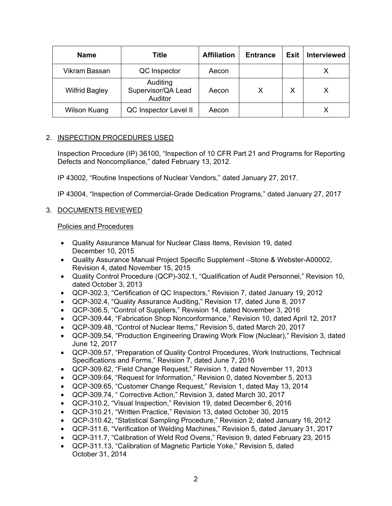| <b>Name</b>           | Title                                     | <b>Affiliation</b> | <b>Entrance</b> | <b>Exit</b> | <b>Interviewed</b> |
|-----------------------|-------------------------------------------|--------------------|-----------------|-------------|--------------------|
| Vikram Bassan         | QC Inspector                              | Aecon              |                 |             |                    |
| <b>Wilfrid Bagley</b> | Auditing<br>Supervisor/QA Lead<br>Auditor | Aecon              | х               | Х           |                    |
| <b>Wilson Kuang</b>   | QC Inspector Level II                     | Aecon              |                 |             |                    |

## 2. INSPECTION PROCEDURES USED

Inspection Procedure (IP) 36100, "Inspection of 10 CFR Part 21 and Programs for Reporting Defects and Noncompliance," dated February 13, 2012.

IP 43002, "Routine Inspections of Nuclear Vendors," dated January 27, 2017.

IP 43004, "Inspection of Commercial-Grade Dedication Programs," dated January 27, 2017

## 3. DOCUMENTS REVIEWED

## Policies and Procedures

- Quality Assurance Manual for Nuclear Class Items, Revision 19, dated December 10, 2015
- Quality Assurance Manual Project Specific Supplement –Stone & Webster-A00002, Revision 4, dated November 15, 2015
- Quality Control Procedure (QCP)-302.1, "Qualification of Audit Personnel," Revision 10, dated October 3, 2013
- QCP-302.3, "Certification of QC Inspectors," Revision 7, dated January 19, 2012
- QCP-302.4, "Quality Assurance Auditing," Revision 17, dated June 8, 2017
- QCP-306.5, "Control of Suppliers," Revision 14, dated November 3, 2016
- QCP-309.44, "Fabrication Shop Nonconformance," Revision 10, dated April 12, 2017
- QCP-309.48, "Control of Nuclear Items," Revision 5, dated March 20, 2017
- QCP-309.54, "Production Engineering Drawing Work Flow (Nuclear)," Revision 3, dated June 12, 2017
- QCP-309.57, "Preparation of Quality Control Procedures, Work Instructions, Technical Specifications and Forms," Revision 7, dated June 7, 2016
- QCP-309.62, "Field Change Request," Revision 1, dated November 11, 2013
- QCP-309.64, "Request for Information," Revision 0, dated November 5, 2013
- QCP-309.65, "Customer Change Request," Revision 1, dated May 13, 2014
- QCP-309.74, " Corrective Action," Revision 3, dated March 30, 2017
- QCP-310.2, "Visual Inspection," Revision 19, dated December 6, 2016
- QCP-310.21, "Written Practice," Revision 13, dated October 30, 2015
- QCP-310.42, "Statistical Sampling Procedure," Revision 2, dated January 16, 2012
- QCP-311.6, "Verification of Welding Machines," Revision 5, dated January 31, 2017
- QCP-311.7, "Calibration of Weld Rod Ovens," Revision 9, dated February 23, 2015
- QCP-311.13, "Calibration of Magnetic Particle Yoke," Revision 5, dated October 31, 2014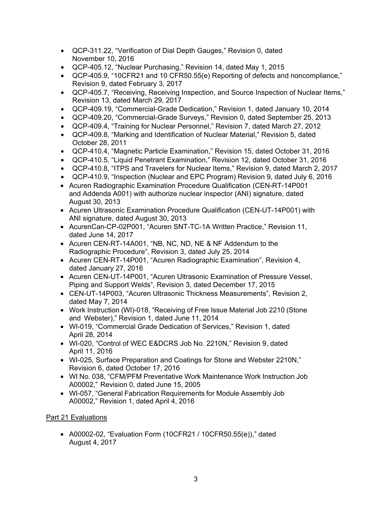- QCP-311.22, "Verification of Dial Depth Gauges," Revision 0, dated November 10, 2016
- QCP-405.12, "Nuclear Purchasing," Revision 14, dated May 1, 2015
- QCP-405.9, "10CFR21 and 10 CFR50.55(e) Reporting of defects and noncompliance," Revision 9, dated February 3, 2017
- QCP-405.7, "Receiving, Receiving Inspection, and Source Inspection of Nuclear Items," Revision 13, dated March 29, 2017
- QCP-409.19, "Commercial-Grade Dedication," Revision 1, dated January 10, 2014
- QCP-409.20, "Commercial-Grade Surveys," Revision 0, dated September 25, 2013
- QCP-409.4, "Training for Nuclear Personnel," Revision 7, dated March 27, 2012
- QCP-409.8, "Marking and Identification of Nuclear Material," Revision 5, dated October 28, 2011
- QCP-410.4, "Magnetic Particle Examination," Revision 15, dated October 31, 2016
- QCP-410.5, "Liquid Penetrant Examination," Revision 12, dated October 31, 2016
- QCP-410.8, "ITPS and Travelers for Nuclear Items," Revision 9, dated March 2, 2017
- QCP-410.9, "Inspection (Nuclear and EPC Program) Revision 9, dated July 6, 2016
- Acuren Radiographic Examination Procedure Qualification (CEN-RT-14P001 and Addenda A001) with authorize nuclear inspector (ANI) signature, dated August 30, 2013
- Acuren Ultrasonic Examination Procedure Qualification (CEN-UT-14P001) with ANI signature, dated August 30, 2013
- AcurenCan-CP-02P001, "Acuren SNT-TC-1A Written Practice," Revision 11, dated June 14, 2017
- Acuren CEN-RT-14A001, "NB, NC, ND, NE & NF Addendum to the Radiographic Procedure", Revision 3, dated July 25, 2014
- Acuren CEN-RT-14P001, "Acuren Radiographic Examination", Revision 4, dated January 27, 2016
- Acuren CEN-UT-14P001, "Acuren Ultrasonic Examination of Pressure Vessel, Piping and Support Welds", Revision 3, dated December 17, 2015
- CEN-UT-14P003, "Acuren Ultrasonic Thickness Measurements", Revision 2, dated May 7, 2014
- Work Instruction (WI)-018, "Receiving of Free Issue Material Job 2210 (Stone and Webster)," Revision 1, dated June 11, 2014
- WI-019, "Commercial Grade Dedication of Services," Revision 1, dated April 28, 2014
- WI-020, "Control of WEC E&DCRS Job No. 2210N," Revision 9, dated April 11, 2016
- WI-025, Surface Preparation and Coatings for Stone and Webster 2210N," Revision 6, dated October 17, 2016
- WI No. 038, "CFM/PFM Preventative Work Maintenance Work Instruction Job A00002," Revision 0, dated June 15, 2005
- WI-057, "General Fabrication Requirements for Module Assembly Job A00002," Revision 1, dated April 4, 2016

## Part 21 Evaluations

• A00002-02, "Evaluation Form (10CFR21 / 10CFR50.55(e))," dated August 4, 2017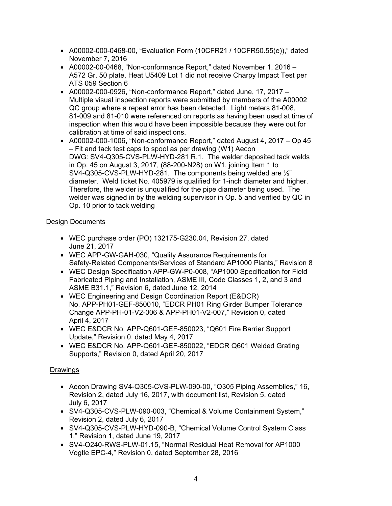- A00002-000-0468-00, "Evaluation Form (10CFR21 / 10CFR50.55(e))," dated November 7, 2016
- A00002-00-0468, "Non-conformance Report," dated November 1, 2016 A572 Gr. 50 plate, Heat U5409 Lot 1 did not receive Charpy Impact Test per ATS 059 Section 6
- A00002-000-0926, "Non-conformance Report," dated June, 17, 2017 Multiple visual inspection reports were submitted by members of the A00002 QC group where a repeat error has been detected. Light meters 81-008, 81-009 and 81-010 were referenced on reports as having been used at time of inspection when this would have been impossible because they were out for calibration at time of said inspections.
- A00002-000-1006, "Non-conformance Report," dated August 4, 2017 Op 45 – Fit and tack test caps to spool as per drawing (W1) Aecon DWG: SV4-Q305-CVS-PLW-HYD-281 R.1. The welder deposited tack welds in Op. 45 on August 3, 2017, (88-200-N28) on W1, joining Item 1 to SV4-Q305-CVS-PLW-HYD-281. The components being welded are ½" diameter. Weld ticket No. 405979 is qualified for 1-inch diameter and higher. Therefore, the welder is unqualified for the pipe diameter being used. The welder was signed in by the welding supervisor in Op. 5 and verified by QC in Op. 10 prior to tack welding

## Design Documents

- WEC purchase order (PO) 132175-G230.04, Revision 27, dated June 21, 2017
- WEC APP-GW-GAH-030, "Quality Assurance Requirements for Safety-Related Components/Services of Standard AP1000 Plants," Revision 8
- WEC Design Specification APP-GW-P0-008, "AP1000 Specification for Field Fabricated Piping and Installation, ASME III, Code Classes 1, 2, and 3 and ASME B31.1," Revision 6, dated June 12, 2014
- WEC Engineering and Design Coordination Report (E&DCR) No. APP-PH01-GEF-850010, "EDCR PH01 Ring Girder Bumper Tolerance Change APP-PH-01-V2-006 & APP-PH01-V2-007," Revision 0, dated April 4, 2017
- WEC E&DCR No. APP-Q601-GEF-850023, "Q601 Fire Barrier Support Update," Revision 0, dated May 4, 2017
- WEC E&DCR No. APP-Q601-GEF-850022, "EDCR Q601 Welded Grating Supports," Revision 0, dated April 20, 2017

## Drawings

- Aecon Drawing SV4-Q305-CVS-PLW-090-00, "Q305 Piping Assemblies," 16, Revision 2, dated July 16, 2017, with document list, Revision 5, dated July 6, 2017
- SV4-Q305-CVS-PLW-090-003, "Chemical & Volume Containment System," Revision 2, dated July 6, 2017
- SV4-Q305-CVS-PLW-HYD-090-B, "Chemical Volume Control System Class 1," Revision 1, dated June 19, 2017
- SV4-Q240-RWS-PLW-01.15, "Normal Residual Heat Removal for AP1000 Vogtle EPC-4," Revision 0, dated September 28, 2016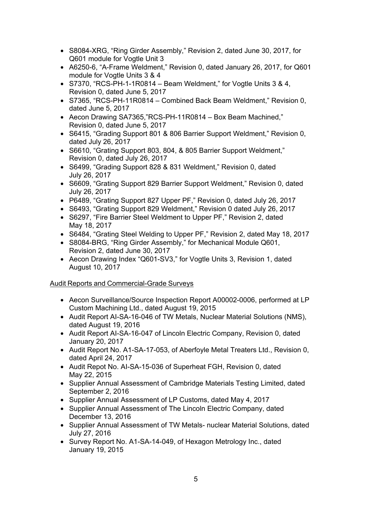- S8084-XRG, "Ring Girder Assembly," Revision 2, dated June 30, 2017, for Q601 module for Vogtle Unit 3
- A6250-6, "A-Frame Weldment," Revision 0, dated January 26, 2017, for Q601 module for Vogtle Units 3 & 4
- S7370, "RCS-PH-1-1R0814 Beam Weldment," for Vogtle Units  $3, 8, 4$ , Revision 0, dated June 5, 2017
- S7365, "RCS-PH-11R0814 Combined Back Beam Weldment," Revision 0, dated June 5, 2017
- Aecon Drawing SA7365,"RCS-PH-11R0814 Box Beam Machined," Revision 0, dated June 5, 2017
- S6415, "Grading Support 801 & 806 Barrier Support Weldment," Revision 0, dated July 26, 2017
- S6610, "Grating Support 803, 804, & 805 Barrier Support Weldment," Revision 0, dated July 26, 2017
- S6499, "Grading Support 828 & 831 Weldment," Revision 0, dated July 26, 2017
- S6609, "Grating Support 829 Barrier Support Weldment," Revision 0, dated July 26, 2017
- P6489, "Grating Support 827 Upper PF," Revision 0, dated July 26, 2017
- S6493, "Grating Support 829 Weldment," Revision 0 dated July 26, 2017
- S6297, "Fire Barrier Steel Weldment to Upper PF," Revision 2, dated May 18, 2017
- S6484, "Grating Steel Welding to Upper PF," Revision 2, dated May 18, 2017
- S8084-BRG, "Ring Girder Assembly," for Mechanical Module Q601, Revision 2, dated June 30, 2017
- Aecon Drawing Index "Q601-SV3," for Vogtle Units 3, Revision 1, dated August 10, 2017

## Audit Reports and Commercial-Grade Surveys

- Aecon Surveillance/Source Inspection Report A00002-0006, performed at LP Custom Machining Ltd., dated August 19, 2015
- Audit Report AI-SA-16-046 of TW Metals, Nuclear Material Solutions (NMS), dated August 19, 2016
- Audit Report AI-SA-16-047 of Lincoln Electric Company, Revision 0, dated January 20, 2017
- Audit Report No. A1-SA-17-053, of Aberfoyle Metal Treaters Ltd., Revision 0, dated April 24, 2017
- Audit Repot No. AI-SA-15-036 of Superheat FGH, Revision 0, dated May 22, 2015
- Supplier Annual Assessment of Cambridge Materials Testing Limited, dated September 2, 2016
- Supplier Annual Assessment of LP Customs, dated May 4, 2017
- Supplier Annual Assessment of The Lincoln Electric Company, dated December 13, 2016
- Supplier Annual Assessment of TW Metals- nuclear Material Solutions, dated July 27, 2016
- Survey Report No. A1-SA-14-049, of Hexagon Metrology Inc., dated January 19, 2015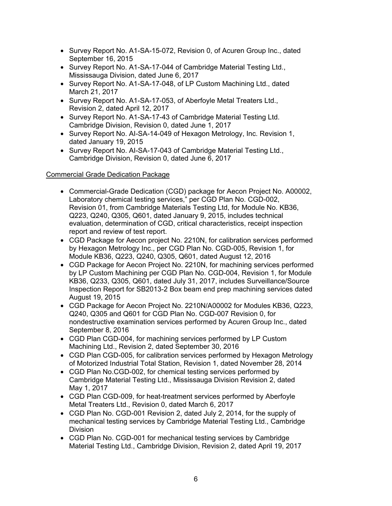- Survey Report No. A1-SA-15-072, Revision 0, of Acuren Group Inc., dated September 16, 2015
- Survey Report No. A1-SA-17-044 of Cambridge Material Testing Ltd., Mississauga Division, dated June 6, 2017
- Survey Report No. A1-SA-17-048, of LP Custom Machining Ltd., dated March 21, 2017
- Survey Report No. A1-SA-17-053, of Aberfoyle Metal Treaters Ltd., Revision 2, dated April 12, 2017
- Survey Report No. A1-SA-17-43 of Cambridge Material Testing Ltd. Cambridge Division, Revision 0, dated June 1, 2017
- Survey Report No. AI-SA-14-049 of Hexagon Metrology, Inc. Revision 1, dated January 19, 2015
- Survey Report No. Al-SA-17-043 of Cambridge Material Testing Ltd., Cambridge Division, Revision 0, dated June 6, 2017

## Commercial Grade Dedication Package

- Commercial-Grade Dedication (CGD) package for Aecon Project No. A00002, Laboratory chemical testing services," per CGD Plan No. CGD-002, Revision 01, from Cambridge Materials Testing Ltd, for Module No. KB36, Q223, Q240, Q305, Q601, dated January 9, 2015, includes technical evaluation, determination of CGD, critical characteristics, receipt inspection report and review of test report.
- CGD Package for Aecon project No. 2210N, for calibration services performed by Hexagon Metrology Inc., per CGD Plan No. CGD-005, Revision 1, for Module KB36, Q223, Q240, Q305, Q601, dated August 12, 2016
- CGD Package for Aecon Project No. 2210N, for machining services performed by LP Custom Machining per CGD Plan No. CGD-004, Revision 1, for Module KB36, Q233, Q305, Q601, dated July 31, 2017, includes Surveillance/Source Inspection Report for SB2013-2 Box beam end prep machining services dated August 19, 2015
- CGD Package for Aecon Project No. 2210N/A00002 for Modules KB36, Q223, Q240, Q305 and Q601 for CGD Plan No. CGD-007 Revision 0, for nondestructive examination services performed by Acuren Group Inc., dated September 8, 2016
- CGD Plan CGD-004, for machining services performed by LP Custom Machining Ltd., Revision 2, dated September 30, 2016
- CGD Plan CGD-005, for calibration services performed by Hexagon Metrology of Motorized Industrial Total Station, Revision 1, dated November 28, 2014
- CGD Plan No.CGD-002, for chemical testing services performed by Cambridge Material Testing Ltd., Mississauga Division Revision 2, dated May 1, 2017
- CGD Plan CGD-009, for heat-treatment services performed by Aberfoyle Metal Treaters Ltd., Revision 0, dated March 6, 2017
- CGD Plan No. CGD-001 Revision 2, dated July 2, 2014, for the supply of mechanical testing services by Cambridge Material Testing Ltd., Cambridge Division
- CGD Plan No. CGD-001 for mechanical testing services by Cambridge Material Testing Ltd., Cambridge Division, Revision 2, dated April 19, 2017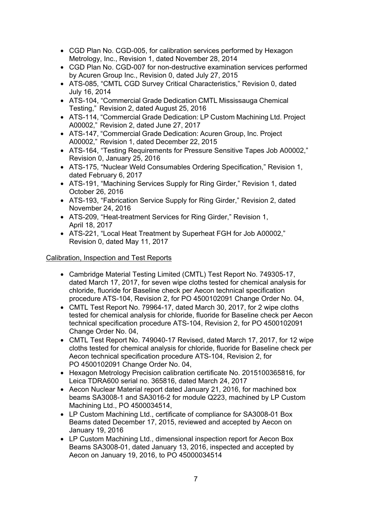- CGD Plan No. CGD-005, for calibration services performed by Hexagon Metrology, Inc., Revision 1, dated November 28, 2014
- CGD Plan No. CGD-007 for non-destructive examination services performed by Acuren Group Inc., Revision 0, dated July 27, 2015
- ATS-085, "CMTL CGD Survey Critical Characteristics," Revision 0, dated July 16, 2014
- ATS-104, "Commercial Grade Dedication CMTL Mississauga Chemical Testing," Revision 2, dated August 25, 2016
- ATS-114, "Commercial Grade Dedication: LP Custom Machining Ltd. Project A00002," Revision 2, dated June 27, 2017
- ATS-147, "Commercial Grade Dedication: Acuren Group, Inc. Project A00002," Revision 1, dated December 22, 2015
- ATS-164, "Testing Requirements for Pressure Sensitive Tapes Job A00002," Revision 0, January 25, 2016
- ATS-175, "Nuclear Weld Consumables Ordering Specification," Revision 1, dated February 6, 2017
- ATS-191, "Machining Services Supply for Ring Girder," Revision 1, dated October 26, 2016
- ATS-193, "Fabrication Service Supply for Ring Girder," Revision 2, dated November 24, 2016
- ATS-209, "Heat-treatment Services for Ring Girder," Revision 1, April 18, 2017
- ATS-221, "Local Heat Treatment by Superheat FGH for Job A00002," Revision 0, dated May 11, 2017

## Calibration, Inspection and Test Reports

- Cambridge Material Testing Limited (CMTL) Test Report No. 749305-17, dated March 17, 2017, for seven wipe cloths tested for chemical analysis for chloride, fluoride for Baseline check per Aecon technical specification procedure ATS-104, Revision 2, for PO 4500102091 Change Order No. 04,
- CMTL Test Report No. 79964-17, dated March 30, 2017, for 2 wipe cloths tested for chemical analysis for chloride, fluoride for Baseline check per Aecon technical specification procedure ATS-104, Revision 2, for PO 4500102091 Change Order No. 04,
- CMTL Test Report No. 749040-17 Revised, dated March 17, 2017, for 12 wipe cloths tested for chemical analysis for chloride, fluoride for Baseline check per Aecon technical specification procedure ATS-104, Revision 2, for PO 4500102091 Change Order No. 04,
- Hexagon Metrology Precision calibration certificate No. 2015100365816, for Leica TDRA600 serial no. 365816, dated March 24, 2017
- Aecon Nuclear Material report dated January 21, 2016, for machined box beams SA3008-1 and SA3016-2 for module Q223, machined by LP Custom Machining Ltd., PO 4500034514,
- LP Custom Machining Ltd., certificate of compliance for SA3008-01 Box Beams dated December 17, 2015, reviewed and accepted by Aecon on January 19, 2016
- LP Custom Machining Ltd., dimensional inspection report for Aecon Box Beams SA3008-01, dated January 13, 2016, inspected and accepted by Aecon on January 19, 2016, to PO 45000034514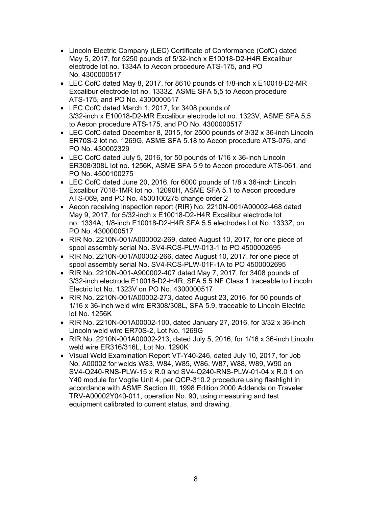- Lincoln Electric Company (LEC) Certificate of Conformance (CofC) dated May 5, 2017, for 5250 pounds of 5/32-inch x E10018-D2-H4R Excalibur electrode lot no. 1334A to Aecon procedure ATS-175, and PO No. 4300000517
- LEC CofC dated May 8, 2017, for 8610 pounds of 1/8-inch x E10018-D2-MR Excalibur electrode lot no. 1333Z, ASME SFA 5,5 to Aecon procedure ATS-175, and PO No. 4300000517
- LEC CofC dated March 1, 2017, for 3408 pounds of 3/32-inch x E10018-D2-MR Excalibur electrode lot no. 1323V, ASME SFA 5,5 to Aecon procedure ATS-175, and PO No. 4300000517
- LEC CofC dated December 8, 2015, for 2500 pounds of 3/32 x 36-inch Lincoln ER70S-2 lot no. 1269G, ASME SFA 5.18 to Aecon procedure ATS-076, and PO No. 430002329
- LEC CofC dated July 5, 2016, for 50 pounds of 1/16 x 36-inch Lincoln ER308/308L lot no. 1256K, ASME SFA 5.9 to Aecon procedure ATS-061, and PO No. 4500100275
- LEC CofC dated June 20, 2016, for 6000 pounds of 1/8 x 36-inch Lincoln Excalibur 7018-1MR lot no. 12090H, ASME SFA 5.1 to Aecon procedure ATS-069, and PO No. 4500100275 change order 2
- Aecon receiving inspection report (RIR) No. 2210N-001/A00002-468 dated May 9, 2017, for 5/32-inch x E10018-D2-H4R Excalibur electrode lot no. 1334A; 1/8-inch E10018-D2-H4R SFA 5.5 electrodes Lot No. 1333Z, on PO No. 4300000517
- RIR No. 2210N-001/A000002-269, dated August 10, 2017, for one piece of spool assembly serial No. SV4-RCS-PLW-013-1 to PO 4500002695
- RIR No. 2210N-001/A00002-266, dated August 10, 2017, for one piece of spool assembly serial No. SV4-RCS-PLW-01F-1A to PO 4500002695
- RIR No. 2210N-001-A900002-407 dated May 7, 2017, for 3408 pounds of 3/32-inch electrode E10018-D2-H4R, SFA 5.5 NF Class 1 traceable to Lincoln Electric lot No. 1323V on PO No. 4300000517
- RIR No. 2210N-001/A00002-273, dated August 23, 2016, for 50 pounds of 1/16 x 36-inch weld wire ER308/308L, SFA 5.9, traceable to Lincoln Electric lot No. 1256K
- RIR No. 2210N-001A00002-100, dated January 27, 2016, for 3/32 x 36-inch Lincoln weld wire ER70S-2, Lot No. 1269G
- RIR No. 2210N-001A00002-213, dated July 5, 2016, for 1/16 x 36-inch Lincoln weld wire ER316/316L, Lot No. 1290K
- Visual Weld Examination Report VT-Y40-246, dated July 10, 2017, for Job No. A00002 for welds W83, W84, W85, W86, W87, W88, W89, W90 on SV4-Q240-RNS-PLW-15 x R.0 and SV4-Q240-RNS-PLW-01-04 x R.0 1 on Y40 module for Vogtle Unit 4, per QCP-310.2 procedure using flashlight in accordance with ASME Section III, 1998 Edition 2000 Addenda on Traveler TRV-A00002Y040-011, operation No. 90, using measuring and test equipment calibrated to current status, and drawing.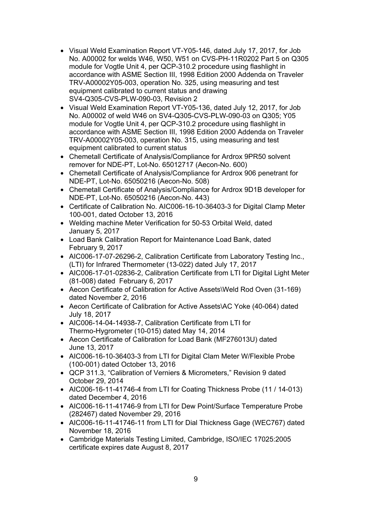- Visual Weld Examination Report VT-Y05-146, dated July 17, 2017, for Job No. A00002 for welds W46, W50, W51 on CVS-PH-11R0202 Part 5 on Q305 module for Vogtle Unit 4, per QCP-310.2 procedure using flashlight in accordance with ASME Section III, 1998 Edition 2000 Addenda on Traveler TRV-A00002Y05-003, operation No. 325, using measuring and test equipment calibrated to current status and drawing SV4-Q305-CVS-PLW-090-03, Revision 2
- Visual Weld Examination Report VT-Y05-136, dated July 12, 2017, for Job No. A00002 of weld W46 on SV4-Q305-CVS-PLW-090-03 on Q305; Y05 module for Vogtle Unit 4, per QCP-310.2 procedure using flashlight in accordance with ASME Section III, 1998 Edition 2000 Addenda on Traveler TRV-A00002Y05-003, operation No. 315, using measuring and test equipment calibrated to current status
- Chemetall Certificate of Analysis/Compliance for Ardrox 9PR50 solvent remover for NDE-PT, Lot-No. 65012717 (Aecon-No. 600)
- Chemetall Certificate of Analysis/Compliance for Ardrox 906 penetrant for NDE-PT, Lot-No. 65050216 (Aecon-No. 508)
- Chemetall Certificate of Analysis/Compliance for Ardrox 9D1B developer for NDE-PT, Lot-No. 65050216 (Aecon-No. 443)
- Certificate of Calibration No. AIC006-16-10-36403-3 for Digital Clamp Meter 100-001, dated October 13, 2016
- Welding machine Meter Verification for 50-53 Orbital Weld, dated January 5, 2017
- Load Bank Calibration Report for Maintenance Load Bank, dated February 9, 2017
- AIC006-17-07-26296-2, Calibration Certificate from Laboratory Testing Inc., (LTI) for Infrared Thermometer (13-022) dated July 17, 2017
- AIC006-17-01-02836-2, Calibration Certificate from LTI for Digital Light Meter (81-008) dated February 6, 2017
- Aecon Certificate of Calibration for Active Assets\Weld Rod Oven (31-169) dated November 2, 2016
- Aecon Certificate of Calibration for Active Assets\AC Yoke (40-064) dated July 18, 2017
- AIC006-14-04-14938-7, Calibration Certificate from LTI for Thermo-Hygrometer (10-015) dated May 14, 2014
- Aecon Certificate of Calibration for Load Bank (MF276013U) dated June 13, 2017
- AIC006-16-10-36403-3 from LTI for Digital Clam Meter W/Flexible Probe (100-001) dated October 13, 2016
- QCP 311.3, "Calibration of Verniers & Micrometers," Revision 9 dated October 29, 2014
- AIC006-16-11-41746-4 from LTI for Coating Thickness Probe (11 / 14-013) dated December 4, 2016
- AIC006-16-11-41746-9 from LTI for Dew Point/Surface Temperature Probe (282467) dated November 29, 2016
- AIC006-16-11-41746-11 from LTI for Dial Thickness Gage (WEC767) dated November 18, 2016
- Cambridge Materials Testing Limited, Cambridge, ISO/IEC 17025:2005 certificate expires date August 8, 2017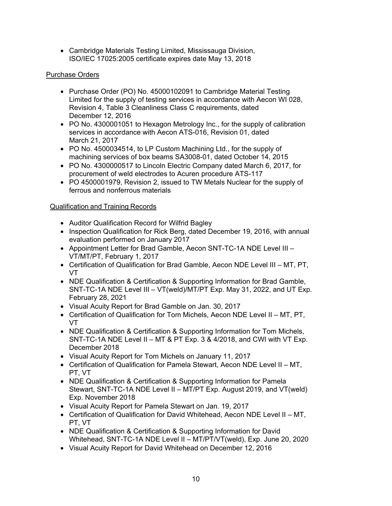• Cambridge Materials Testing Limited, Mississauga Division, ISO/IEC 17025:2005 certificate expires date May 13, 2018

## Purchase Orders

- Purchase Order (PO) No. 45000102091 to Cambridge Material Testing Limited for the supply of testing services in accordance with Aecon WI 028, Revision 4, Table 3 Cleanliness Class C requirements, dated December 12, 2016
- PO No. 4300001051 to Hexagon Metrology Inc., for the supply of calibration services in accordance with Aecon ATS-016, Revision 01, dated March 21, 2017
- PO No. 4500034514, to LP Custom Machining Ltd., for the supply of machining services of box beams SA3008-01, dated October 14, 2015
- PO No. 4300000517 to Lincoln Electric Company dated March 6, 2017, for procurement of weld electrodes to Acuren procedure ATS-117
- PO 4500001979, Revision 2, issued to TW Metals Nuclear for the supply of ferrous and nonferrous materials

## Qualification and Training Records

- Auditor Qualification Record for Wilfrid Bagley
- Inspection Qualification for Rick Berg, dated December 19, 2016, with annual evaluation performed on January 2017
- Appointment Letter for Brad Gamble, Aecon SNT-TC-1A NDE Level III VT/MT/PT, February 1, 2017
- Certification of Qualification for Brad Gamble, Aecon NDE Level III MT, PT, VT
- NDE Qualification & Certification & Supporting Information for Brad Gamble, SNT-TC-1A NDE Level III – VT(weld)/MT/PT Exp. May 31, 2022, and UT Exp. February 28, 2021
- Visual Acuity Report for Brad Gamble on Jan. 30, 2017
- Certification of Qualification for Tom Michels, Aecon NDE Level II MT, PT, VT
- NDE Qualification & Certification & Supporting Information for Tom Michels, SNT-TC-1A NDE Level II – MT & PT Exp. 3 & 4/2018, and CWI with VT Exp. December 2018
- Visual Acuity Report for Tom Michels on January 11, 2017
- Certification of Qualification for Pamela Stewart, Aecon NDE Level II MT, PT, VT
- NDE Qualification & Certification & Supporting Information for Pamela Stewart, SNT-TC-1A NDE Level II – MT/PT Exp. August 2019, and VT(weld) Exp. November 2018
- Visual Acuity Report for Pamela Stewart on Jan. 19, 2017
- Certification of Qualification for David Whitehead, Aecon NDE Level II MT, PT, VT
- NDE Qualification & Certification & Supporting Information for David Whitehead, SNT-TC-1A NDE Level II – MT/PT/VT(weld), Exp. June 20, 2020
- Visual Acuity Report for David Whitehead on December 12, 2016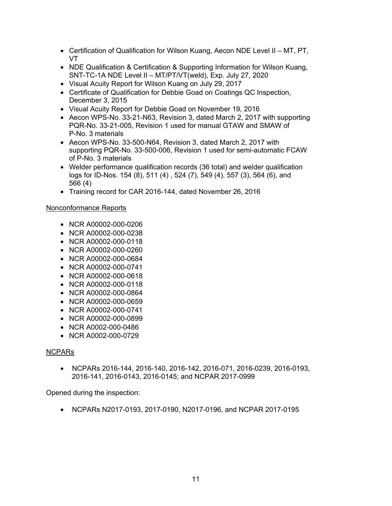- Certification of Qualification for Wilson Kuang, Aecon NDE Level II MT, PT, VT
- NDE Qualification & Certification & Supporting Information for Wilson Kuang, SNT-TC-1A NDE Level II – MT/PT/VT(weld), Exp. July 27, 2020
- Visual Acuity Report for Wilson Kuang on July 29, 2017
- Certificate of Qualification for Debbie Goad on Coatings QC Inspection, December 3, 2015
- Visual Acuity Report for Debbie Goad on November 19, 2016
- Aecon WPS-No. 33-21-N63, Revision 3, dated March 2, 2017 with supporting PQR-No. 33-21-005, Revision 1 used for manual GTAW and SMAW of P-No. 3 materials
- Aecon WPS-No. 33-500-N64, Revision 3, dated March 2, 2017 with supporting PQR-No. 33-500-006, Revision 1 used for semi-automatic FCAW of P-No. 3 materials
- Welder performance qualification records (36 total) and welder qualification logs for ID-Nos. 154 (8), 511 (4) , 524 (7), 549 (4), 557 (3), 564 (6), and 566 (4)
- Training record for CAR 2016-144, dated November 26, 2016

## Nonconformance Reports

- NCR A00002-000-0206
- NCR A00002-000-0238
- NCR A00002-000-0118
- NCR A00002-000-0260
- NCR A00002-000-0684
- NCR A00002-000-0741
- NCR A00002-000-0618
- NCR A00002-000-0118
- NCR A00002-000-0864
- NCR A00002-000-0659
- NCR A00002-000-0741
- NCR A00002-000-0899
- NCR A0002-000-0486
- NCR A0002-000-0729

## NCPARs

• NCPARs 2016-144, 2016-140, 2016-142, 2016-071, 2016-0239, 2016-0193, 2016-141, 2016-0143, 2016-0145; and NCPAR 2017-0999

Opened during the inspection:

• NCPARs N2017-0193, 2017-0190, N2017-0196, and NCPAR 2017-0195